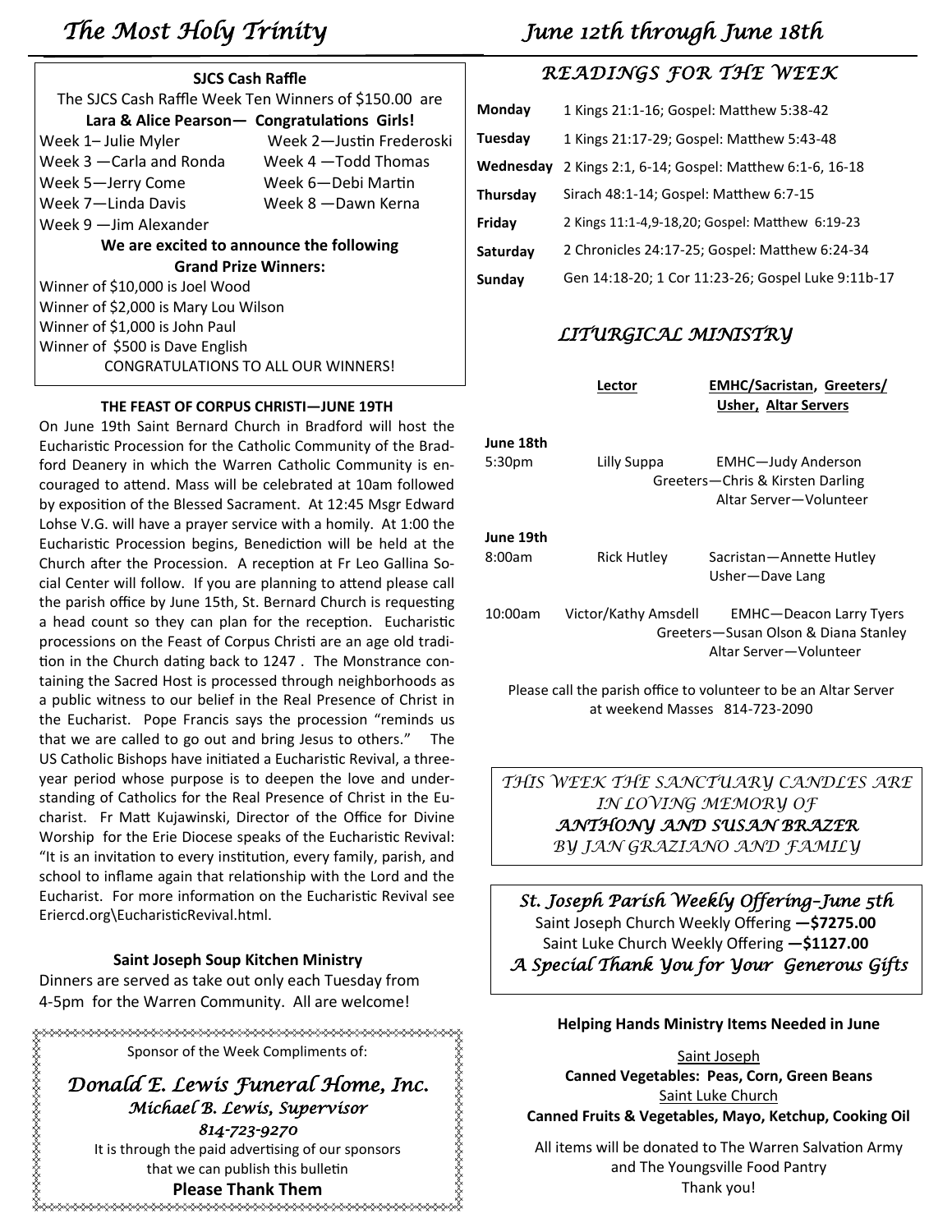| <b>SJCS Cash Raffle</b>                               |                          |  |  |  |
|-------------------------------------------------------|--------------------------|--|--|--|
| The SJCS Cash Raffle Week Ten Winners of \$150.00 are |                          |  |  |  |
| Lara & Alice Pearson- Congratulations Girls!          |                          |  |  |  |
| Week 1– Julie Myler                                   | Week 2-Justin Frederoski |  |  |  |
| Week 3 —Carla and Ronda                               | Week 4 - Todd Thomas     |  |  |  |
| Week 5-Jerry Come                                     | Week 6-Debi Martin       |  |  |  |
| Week 7—Linda Davis                                    | Week 8 - Dawn Kerna      |  |  |  |
| Week 9 —Jim Alexander                                 |                          |  |  |  |
| We are excited to announce the following              |                          |  |  |  |
| <b>Grand Prize Winners:</b>                           |                          |  |  |  |
| Winner of \$10,000 is Joel Wood                       |                          |  |  |  |
| Winner of \$2,000 is Mary Lou Wilson                  |                          |  |  |  |
| Winner of \$1,000 is John Paul                        |                          |  |  |  |
| Winner of \$500 is Dave English                       |                          |  |  |  |
| <b>CONGRATULATIONS TO ALL OUR WINNERS!</b>            |                          |  |  |  |

#### **THE FEAST OF CORPUS CHRISTI—JUNE 19TH**

On June 19th Saint Bernard Church in Bradford will host the Eucharistic Procession for the Catholic Community of the Bradford Deanery in which the Warren Catholic Community is encouraged to attend. Mass will be celebrated at 10am followed by exposition of the Blessed Sacrament. At 12:45 Msgr Edward Lohse V.G. will have a prayer service with a homily. At 1:00 the Eucharistic Procession begins, Benediction will be held at the Church after the Procession. A reception at Fr Leo Gallina Social Center will follow. If you are planning to attend please call the parish office by June 15th, St. Bernard Church is requesting a head count so they can plan for the reception. Eucharistic processions on the Feast of Corpus Christi are an age old tradition in the Church dating back to 1247 . The Monstrance containing the Sacred Host is processed through neighborhoods as a public witness to our belief in the Real Presence of Christ in the Eucharist. Pope Francis says the procession "reminds us that we are called to go out and bring Jesus to others." The US Catholic Bishops have initiated a Eucharistic Revival, a threeyear period whose purpose is to deepen the love and understanding of Catholics for the Real Presence of Christ in the Eucharist. Fr Matt Kujawinski, Director of the Office for Divine Worship for the Erie Diocese speaks of the Eucharistic Revival: "It is an invitation to every institution, every family, parish, and school to inflame again that relationship with the Lord and the Eucharist. For more information on the Eucharistic Revival see Eriercd.org\EucharisticRevival.html.

#### **Saint Joseph Soup Kitchen Ministry**

Dinners are served as take out only each Tuesday from 4-5pm for the Warren Community. All are welcome!

Sponsor of the Week Compliments of:

*Donald E. Lewis Funeral Home, Inc. Michael B. Lewis, Supervisor 814-723-9270*  It is through the paid advertising of our sponsors that we can publish this bulletin

### **Please Thank Them**

# *The Most Holy Trinity June 12th through June 18th*

# *READINGS FOR THE WEEK*

| Monday    | 1 Kings 21:1-16; Gospel: Matthew 5:38-42           |
|-----------|----------------------------------------------------|
| Tuesday   | 1 Kings 21:17-29; Gospel: Matthew 5:43-48          |
| Wednesday | 2 Kings 2:1, 6-14; Gospel: Matthew 6:1-6, 16-18    |
| Thursday  | Sirach 48:1-14; Gospel: Matthew 6:7-15             |
| Friday    | 2 Kings 11:1-4,9-18,20; Gospel: Matthew 6:19-23    |
| Saturday  | 2 Chronicles 24:17-25; Gospel: Matthew 6:24-34     |
| Sunday    | Gen 14:18-20; 1 Cor 11:23-26; Gospel Luke 9:11b-17 |
|           |                                                    |

## *LITURGICAL MINISTRY*

|                                 | Lector               | <b>EMHC/Sacristan, Greeters/</b><br><b>Usher, Altar Servers</b>                                  |
|---------------------------------|----------------------|--------------------------------------------------------------------------------------------------|
| June 18th<br>5:30 <sub>pm</sub> | Lilly Suppa          | <b>EMHC-Judy Anderson</b><br>Greeters-Chris & Kirsten Darling<br>Altar Server-Volunteer          |
| June 19th<br>8:00am             | <b>Rick Hutley</b>   | Sacristan—Annette Hutley<br>Usher-Dave Lang                                                      |
| 10:00am                         | Victor/Kathy Amsdell | <b>EMHC-Deacon Larry Tyers</b><br>Greeters-Susan Olson & Diana Stanley<br>Altar Server—Volunteer |

Please call the parish office to volunteer to be an Altar Server at weekend Masses 814-723-2090

*THIS WEEK THE SANCTUARY CANDLES ARE IN LOVING MEMORY OF ANTHONY AND SUSAN BRAZER BY JAN GRAZIANO AND FAMILY*

*St. Joseph Parish Weekly Offering–June 5th*  Saint Joseph Church Weekly Offering **—\$7275.00** Saint Luke Church Weekly Offering **—\$1127.00**  *A Special Thank You for Your Generous Gifts* 

#### **Helping Hands Ministry Items Needed in June**

Saint Joseph **Canned Vegetables: Peas, Corn, Green Beans** Saint Luke Church **Canned Fruits & Vegetables, Mayo, Ketchup, Cooking Oil**

All items will be donated to The Warren Salvation Army and The Youngsville Food Pantry Thank you!